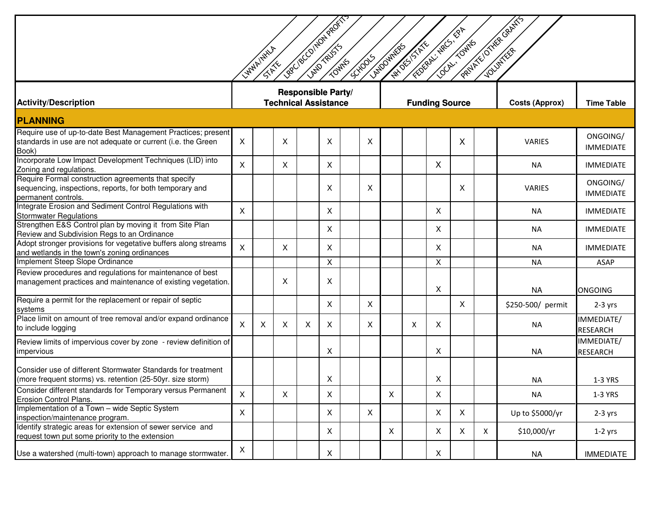| Lee ve Contouveding<br>PALLATIONAL GRANTS<br>FOREX, NECT, BA<br>LOCKY TOWNS<br><b>ANTON STAN</b><br>LANDOVINERS<br>LYMAINWALA<br><b>SCHOOLS</b><br>15-15-14 |          |   |                             |                    |   |  |              |   |   |                       |              |   |                       |                               |
|-------------------------------------------------------------------------------------------------------------------------------------------------------------|----------|---|-----------------------------|--------------------|---|--|--------------|---|---|-----------------------|--------------|---|-----------------------|-------------------------------|
| <b>Activity/Description</b>                                                                                                                                 |          |   | <b>Technical Assistance</b> | Responsible Party/ |   |  |              |   |   | <b>Funding Source</b> |              |   | <b>Costs (Approx)</b> | <b>Time Table</b>             |
| <b>PLANNING</b>                                                                                                                                             |          |   |                             |                    |   |  |              |   |   |                       |              |   |                       |                               |
| Require use of up-to-date Best Management Practices; present<br>standards in use are not adequate or current (i.e. the Green<br>Book)                       | X        |   | X                           |                    | X |  | X            |   |   |                       | X            |   | <b>VARIES</b>         | ONGOING/<br><b>IMMEDIATE</b>  |
| Incorporate Low Impact Development Techniques (LID) into<br>Zoning and regulations.                                                                         | $\times$ |   | X                           |                    | X |  |              |   |   | X                     |              |   | <b>NA</b>             | <b>IMMEDIATE</b>              |
| Require Formal construction agreements that specify<br>sequencing, inspections, reports, for both temporary and<br>permanent controls.                      |          |   |                             |                    | Χ |  | X            |   |   |                       | X            |   | VARIES                | ONGOING/<br><b>IMMEDIATE</b>  |
| Integrate Erosion and Sediment Control Regulations with<br><b>Stormwater Regulations</b>                                                                    | X        |   |                             |                    | X |  |              |   |   | X                     |              |   | <b>NA</b>             | <b>IMMEDIATE</b>              |
| Strengthen E&S Control plan by moving it from Site Plan<br>Review and Subdivision Regs to an Ordinance                                                      |          |   |                             |                    | X |  |              |   |   | X                     |              |   | <b>NA</b>             | <b>IMMEDIATE</b>              |
| Adopt stronger provisions for vegetative buffers along streams<br>and wetlands in the town's zoning ordinances                                              | $\times$ |   | $\times$                    |                    | X |  |              |   |   | X                     |              |   | <b>NA</b>             | <b>IMMEDIATE</b>              |
| Implement Steep Slope Ordinance                                                                                                                             |          |   |                             |                    | X |  |              |   |   | X                     |              |   | <b>NA</b>             | <b>ASAP</b>                   |
| Review procedures and regulations for maintenance of best<br>management practices and maintenance of existing vegetation.                                   |          |   | X                           |                    | X |  |              |   |   | X                     |              |   | <b>NA</b>             | <b>ONGOING</b>                |
| Require a permit for the replacement or repair of septic<br>systems                                                                                         |          |   |                             |                    | X |  | X            |   |   |                       | X            |   | \$250-500/ permit     | $2-3$ yrs                     |
| Place limit on amount of tree removal and/or expand ordinance<br>to include logging                                                                         | X        | X | X                           | X                  | X |  | X            |   | X | X                     |              |   | NA                    | IMMEDIATE/<br><b>RESEARCH</b> |
| Review limits of impervious cover by zone - review definition of<br>impervious                                                                              |          |   |                             |                    | X |  |              |   |   | X                     |              |   | <b>NA</b>             | IMMEDIATE/<br><b>RESEARCH</b> |
| Consider use of different Stormwater Standards for treatment<br>(more frequent storms) vs. retention (25-50yr. size storm)                                  |          |   |                             |                    | X |  |              |   |   | X                     |              |   | <b>NA</b>             | 1-3 YRS                       |
| Consider different standards for Temporary versus Permanent<br>Erosion Control Plans.                                                                       | X        |   | X                           |                    | X |  |              | X |   | X                     |              |   | <b>NA</b>             | 1-3 YRS                       |
| Implementation of a Town - wide Septic System<br>inspection/maintenance program.                                                                            | X        |   |                             |                    | X |  | $\mathsf{X}$ |   |   | X                     | $\mathsf{X}$ |   | Up to \$5000/yr       | $2-3$ yrs                     |
| Identify strategic areas for extension of sewer service and<br>request town put some priority to the extension                                              |          |   |                             |                    | X |  |              | X |   | $\mathsf{X}$          | $\mathsf{X}$ | X | \$10,000/yr           | $1-2$ yrs                     |
| Use a watershed (multi-town) approach to manage stormwater.                                                                                                 | X        |   |                             |                    | X |  |              |   |   | X                     |              |   | NA                    | <b>IMMEDIATE</b>              |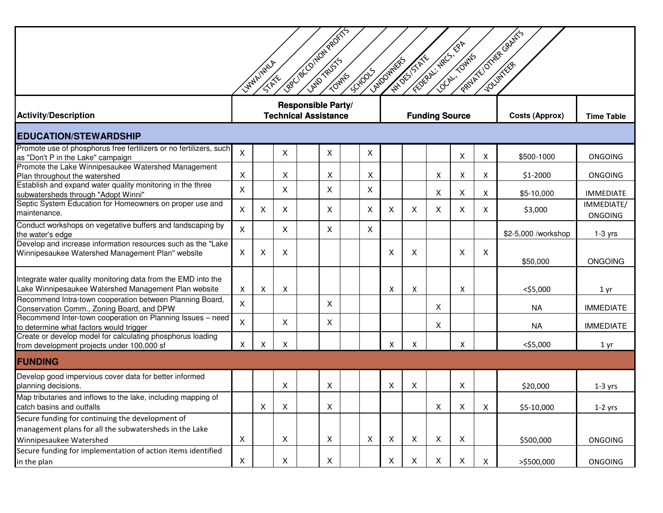|                                                                                                                                       |   | LYMAINWLA<br><b>SHALL</b> |                             | Leer / 8 CO/HON PROFITS |   |  | <b>SCHOOLS</b> | LANDOVINERS  | <b>ANTISTICS</b>          | FEDERAL MACS, PA<br><b>COOKING</b> |              |   | PRIVATE/OTHER GRANTS  |                              |
|---------------------------------------------------------------------------------------------------------------------------------------|---|---------------------------|-----------------------------|-------------------------|---|--|----------------|--------------|---------------------------|------------------------------------|--------------|---|-----------------------|------------------------------|
| <b>Activity/Description</b>                                                                                                           |   |                           | <b>Technical Assistance</b> | Responsible Party/      |   |  |                |              |                           | <b>Funding Source</b>              |              |   | <b>Costs (Approx)</b> | <b>Time Table</b>            |
| <b>EDUCATION/STEWARDSHIP</b>                                                                                                          |   |                           |                             |                         |   |  |                |              |                           |                                    |              |   |                       |                              |
| Promote use of phosphorus free fertilizers or no fertilizers, such<br>as "Don't P in the Lake" campaign                               | X |                           | X                           |                         | X |  | X              |              |                           |                                    | Χ            | X | \$500-1000            | <b>ONGOING</b>               |
| Promote the Lake Winnipesaukee Watershed Management<br>Plan throughout the watershed                                                  | X |                           | X                           |                         | X |  | X              |              |                           | X                                  | Χ            | Χ | \$1-2000              | <b>ONGOING</b>               |
| Establish and expand water quality monitoring in the three<br>subwatersheds through "Adopt Winni"                                     | X |                           | X                           |                         | X |  | X              |              |                           | X                                  | X            | Χ | \$5-10,000            | <b>IMMEDIATE</b>             |
| Septic System Education for Homeowners on proper use and<br>maintenance.                                                              | X | X.                        | X                           |                         | X |  | X              | X            | X                         | X                                  | X            | X | \$3,000               | IMMEDIATE/<br><b>ONGOING</b> |
| Conduct workshops on vegetative buffers and landscaping by<br>the water's edge                                                        | X |                           | X                           |                         | X |  | X              |              |                           |                                    |              |   | \$2-5,000 /workshop   | $1-3$ yrs                    |
| Develop and increase information resources such as the "Lake<br>Winnipesaukee Watershed Management Plan" website                      | X | X                         | X                           |                         |   |  |                | Χ            | X                         |                                    | X            | X | \$50,000              | <b>ONGOING</b>               |
| Integrate water quality monitoring data from the EMD into the<br>Lake Winnipesaukee Watershed Management Plan website                 | Χ | Χ                         | X                           |                         |   |  |                | Χ            | X                         |                                    | Χ            |   | $<$ \$5,000           | 1 <sub>yr</sub>              |
| Recommend Intra-town cooperation between Planning Board,<br>Conservation Comm., Zoning Board, and DPW                                 | X |                           |                             |                         | X |  |                |              |                           | $\mathsf{X}$                       |              |   | <b>NA</b>             | <b>IMMEDIATE</b>             |
| Recommend Inter-town cooperation on Planning Issues - need<br>to determine what factors would trigger                                 | X |                           | X                           |                         | X |  |                |              |                           | X                                  |              |   | <b>NA</b>             | <b>IMMEDIATE</b>             |
| Create or develop model for calculating phosphorus loading<br>from development projects under 100,000 sf                              | X | X                         | Χ                           |                         |   |  |                | Χ            | Χ                         |                                    | X            |   | $<$ \$5,000           | 1 yr                         |
| <b>FUNDING</b>                                                                                                                        |   |                           |                             |                         |   |  |                |              |                           |                                    |              |   |                       |                              |
| Develop good impervious cover data for better informed<br>planning decisions.                                                         |   |                           | X                           |                         | Χ |  |                | Χ            | X                         |                                    | X            |   | \$20,000              | $1-3$ yrs                    |
| Map tributaries and inflows to the lake, including mapping of<br>catch basins and outfalls                                            |   | X                         | X                           |                         | X |  |                |              |                           | X                                  | X            | X | \$5-10,000            | $1-2$ yrs                    |
| Secure funding for continuing the development of<br>management plans for all the subwatersheds in the Lake<br>Winnipesaukee Watershed | X |                           | $\boldsymbol{\mathsf{X}}$   |                         | X |  | X              | $\mathsf{X}$ | $\boldsymbol{\mathsf{X}}$ | $\pmb{\times}$                     | $\mathsf{X}$ |   | \$500,000             | <b>ONGOING</b>               |
| Secure funding for implementation of action items identified<br>in the plan                                                           | X |                           | X                           |                         | X |  |                | X            | X                         | X                                  | X            | X | >\$500,000            | <b>ONGOING</b>               |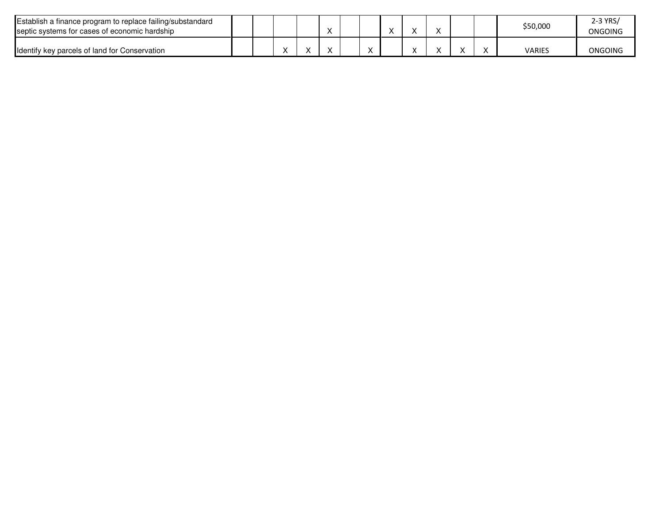| Establish a finance program to replace failing/substandard<br>septic systems for cases of economic hardship |  |  |   |  |  |  | \$50,000      | 2-3 YRS/<br>ONGOING |
|-------------------------------------------------------------------------------------------------------------|--|--|---|--|--|--|---------------|---------------------|
| Identify key parcels of land for Conservation                                                               |  |  | ` |  |  |  | <b>VARIES</b> | ONGOING             |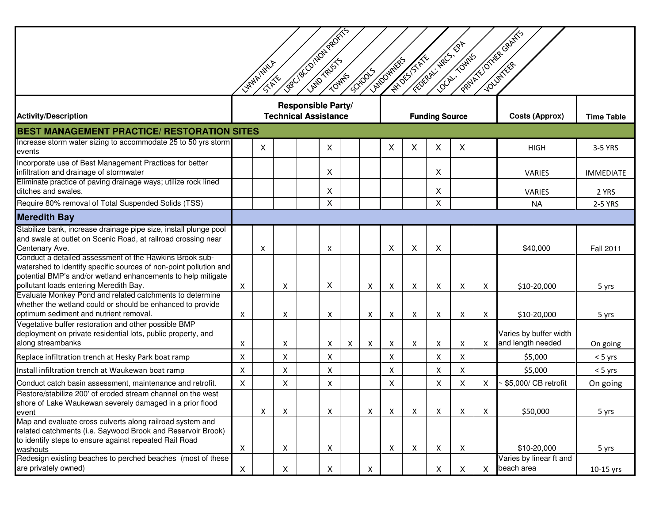| Lagr / Bright Avenue<br>PRIVATE/OTHER GRANTS<br>FEDERAL - RECT - RPT<br>LOCAL TOWNS<br><b>AND STATE</b><br>LANDOVINERS<br>LYMAINWA<br><b>SCHOOLS</b><br><b>STAKE</b>                                                                   |   |   |                             |                           |   |   |   |                           |   |                       |   |                           |                                             |                   |
|----------------------------------------------------------------------------------------------------------------------------------------------------------------------------------------------------------------------------------------|---|---|-----------------------------|---------------------------|---|---|---|---------------------------|---|-----------------------|---|---------------------------|---------------------------------------------|-------------------|
| <b>Activity/Description</b>                                                                                                                                                                                                            |   |   | <b>Technical Assistance</b> | <b>Responsible Party/</b> |   |   |   |                           |   | <b>Funding Source</b> |   |                           | <b>Costs (Approx)</b>                       | <b>Time Table</b> |
| <b>BEST MANAGEMENT PRACTICE/ RESTORATION SITES</b>                                                                                                                                                                                     |   |   |                             |                           |   |   |   |                           |   |                       |   |                           |                                             |                   |
| Increase storm water sizing to accommodate 25 to 50 yrs storm<br>events                                                                                                                                                                |   | X |                             |                           | X |   |   | X                         | X | X                     | X |                           | <b>HIGH</b>                                 | 3-5 YRS           |
| Incorporate use of Best Management Practices for better<br>infiltration and drainage of stormwater                                                                                                                                     |   |   |                             |                           | X |   |   |                           |   | X                     |   |                           | <b>VARIES</b>                               | <b>IMMEDIATE</b>  |
| Eliminate practice of paving drainage ways; utilize rock lined<br>ditches and swales.                                                                                                                                                  |   |   |                             |                           | X |   |   |                           |   | X                     |   |                           | VARIES                                      | 2 YRS             |
| Require 80% removal of Total Suspended Solids (TSS)                                                                                                                                                                                    |   |   |                             |                           | X |   |   |                           |   | X                     |   |                           | <b>NA</b>                                   | 2-5 YRS           |
| <b>Meredith Bay</b>                                                                                                                                                                                                                    |   |   |                             |                           |   |   |   |                           |   |                       |   |                           |                                             |                   |
| Stabilize bank, increase drainage pipe size, install plunge pool<br>and swale at outlet on Scenic Road, at railroad crossing near<br>Centenary Ave.                                                                                    |   | Х |                             |                           | Х |   |   | X                         | X | X                     |   |                           | \$40,000                                    | <b>Fall 2011</b>  |
| Conduct a detailed assessment of the Hawkins Brook sub-<br>watershed to identify specific sources of non-point pollution and<br>potential BMP's and/or wetland enhancements to help mitigate<br>pollutant loads entering Meredith Bay. | X |   | Χ                           |                           | X |   | Χ | X                         | Χ | Χ                     | X | X                         | \$10-20,000                                 | 5 yrs             |
| Evaluate Monkey Pond and related catchments to determine<br>whether the wetland could or should be enhanced to provide<br>optimum sediment and nutrient removal.                                                                       | X |   | X                           |                           | Х |   | Х | X                         | X | X                     | X | $\boldsymbol{\mathsf{X}}$ | \$10-20,000                                 | 5 yrs             |
| Vegetative buffer restoration and other possible BMP<br>deployment on private residential lots, public property, and<br>along streambanks                                                                                              | X |   | Χ                           |                           | х | X | Χ | $\boldsymbol{\mathsf{X}}$ | X | X                     | Χ | $\boldsymbol{\mathsf{X}}$ | Varies by buffer width<br>and length needed | On going          |
| Replace infiltration trench at Hesky Park boat ramp                                                                                                                                                                                    | X |   | X                           |                           | X |   |   | $\boldsymbol{\mathsf{X}}$ |   | X                     | X |                           | \$5,000                                     | $< 5$ yrs         |
| Install infiltration trench at Waukewan boat ramp                                                                                                                                                                                      | X |   | X                           |                           | X |   |   | Χ                         |   | X                     | Χ |                           | \$5,000                                     | $< 5$ yrs         |
| Conduct catch basin assessment, maintenance and retrofit.                                                                                                                                                                              | Χ |   | $\pmb{\mathsf{X}}$          |                           | X |   |   | X                         |   | X                     | X | $\boldsymbol{\mathsf{X}}$ | \$5,000/ CB retrofit                        | On going          |
| Restore/stabilize 200' of eroded stream channel on the west<br>shore of Lake Waukewan severely damaged in a prior flood<br>event                                                                                                       |   | X | X                           |                           | X |   | X | X                         | X | X                     | X | Χ                         | \$50,000                                    | 5 yrs             |
| Map and evaluate cross culverts along railroad system and<br>related catchments (i.e. Saywood Brook and Reservoir Brook)<br>to identify steps to ensure against repeated Rail Road<br>washouts                                         | X |   | X                           |                           | X |   |   | X                         | X | $\pmb{\mathsf{X}}$    | X |                           | \$10-20,000                                 | 5 yrs             |
| Redesign existing beaches to perched beaches (most of these<br>are privately owned)                                                                                                                                                    | X |   | $\mathsf X$                 |                           | X |   | X |                           |   | $\mathsf{X}$          | X | $\times$                  | Varies by linear ft and<br>beach area       | 10-15 yrs         |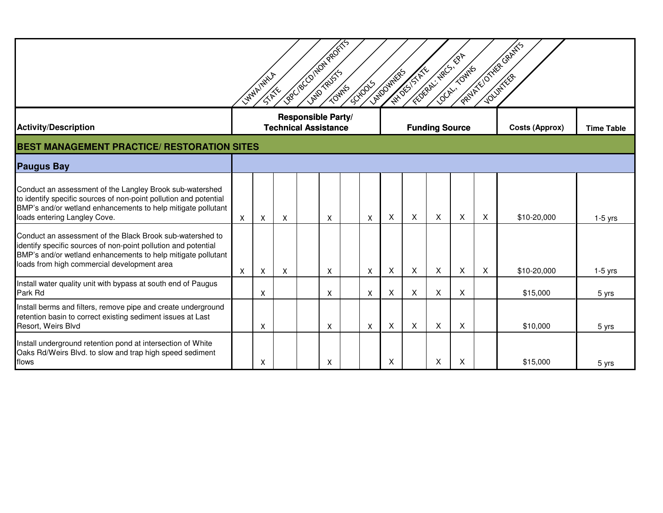| Leec/8co/potageok/5<br>PRIMER'S OTHER GRAFFS<br>$\mathscr{B}^{\blacktriangledown}$<br><b>CORPORATION STATES</b><br><b>COLLECTION</b><br><b>ANTON STATE</b><br>LANDOVINERS<br>LYMAINWLIA<br><b>SCHOOLS</b><br><b>SIXXX</b>                  |   |   |                             |                    |   |  |   |   |   |                       |   |   |                       |                   |
|--------------------------------------------------------------------------------------------------------------------------------------------------------------------------------------------------------------------------------------------|---|---|-----------------------------|--------------------|---|--|---|---|---|-----------------------|---|---|-----------------------|-------------------|
| <b>Activity/Description</b>                                                                                                                                                                                                                |   |   | <b>Technical Assistance</b> | Responsible Party/ |   |  |   |   |   | <b>Funding Source</b> |   |   | <b>Costs (Approx)</b> | <b>Time Table</b> |
| <b>BEST MANAGEMENT PRACTICE/ RESTORATION SITES</b>                                                                                                                                                                                         |   |   |                             |                    |   |  |   |   |   |                       |   |   |                       |                   |
| <b>Paugus Bay</b>                                                                                                                                                                                                                          |   |   |                             |                    |   |  |   |   |   |                       |   |   |                       |                   |
| Conduct an assessment of the Langley Brook sub-watershed<br>to identify specific sources of non-point pollution and potential<br>BMP's and/or wetland enhancements to help mitigate pollutant<br>loads entering Langley Cove.              | X | X | X                           |                    | X |  | X | X | X | X                     | X | X | \$10-20,000           | $1-5$ yrs         |
| Conduct an assessment of the Black Brook sub-watershed to<br>identify specific sources of non-point pollution and potential<br>BMP's and/or wetland enhancements to help mitigate pollutant<br>loads from high commercial development area | X | X | Χ                           |                    | Χ |  | х | X | X | X                     | X | X | \$10-20,000           | $1-5$ yrs         |
| Install water quality unit with bypass at south end of Paugus<br>Park Rd                                                                                                                                                                   |   | X |                             |                    | X |  | X | X | X | X                     | X |   | \$15,000              | 5 yrs             |
| Install berms and filters, remove pipe and create underground<br>retention basin to correct existing sediment issues at Last<br>Resort, Weirs Blvd                                                                                         |   | X |                             |                    | X |  | X | X | X | X                     | X |   | \$10,000              | 5 yrs             |
| Install underground retention pond at intersection of White<br>Oaks Rd/Weirs Blvd. to slow and trap high speed sediment<br>flows                                                                                                           |   | X |                             |                    | X |  |   | X |   | X                     | X |   | \$15,000              | 5 yrs             |